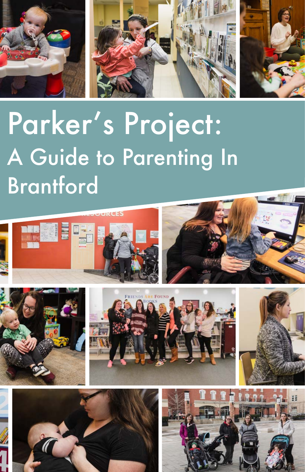

# Parker's Project: A Guide to Parenting In Brantford





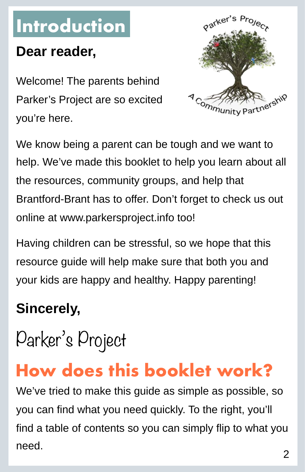# **Introduction**

### **Dear reader,**

Welcome! The parents behind Parker's Project are so excited you're here.



We know being a parent can be tough and we want to help. We've made this booklet to help you learn about all the resources, community groups, and help that Brantford-Brant has to offer. Don't forget to check us out online at [www.parkersproject.info](http://www.parkersproject.info) too!

Having children can be stressful, so we hope that this resource guide will help make sure that both you and your kids are happy and healthy. Happy parenting!

### **Sincerely,**

Parker's Project

### **How does this booklet work?**

We've tried to make this guide as simple as possible, so you can find what you need quickly. To the right, you'll find a table of contents so you can simply flip to what you need.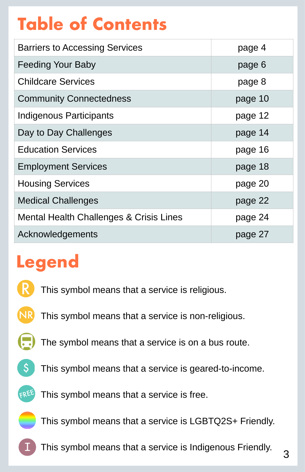# **Table of Contents**

| <b>Barriers to Accessing Services</b>   | page 4  |
|-----------------------------------------|---------|
| <b>Feeding Your Baby</b>                | page 6  |
| <b>Childcare Services</b>               | page 8  |
| <b>Community Connectedness</b>          | page 10 |
| Indigenous Participants                 | page 12 |
| Day to Day Challenges                   | page 14 |
| <b>Education Services</b>               | page 16 |
| <b>Employment Services</b>              | page 18 |
| <b>Housing Services</b>                 | page 20 |
| <b>Medical Challenges</b>               | page 22 |
| Mental Health Challenges & Crisis Lines | page 24 |
| Acknowledgements                        | page 27 |

## **Legend**



- This symbol means that a service is non-religious. NR
	- The symbol means that a service is on a bus route.



This symbol means that a service is geared-to-income.



This symbol means that a service is free.

This symbol means that a service is LGBTQ2S+ Friendly.

This symbol means that a service is Indigenous Friendly.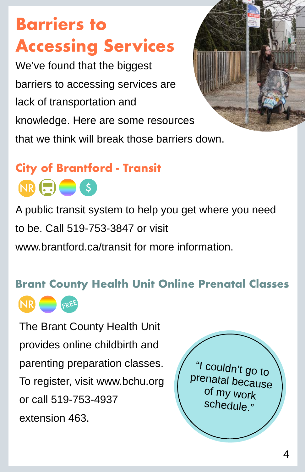**Barriers to Accessing Services**

We've found that the biggest barriers to accessing services are lack of transportation and knowledge. Here are some resources that we think will break those barriers down.



### **City of Brantford - Transit**  $NR \left(\frac{1}{n}\right)$   $\left(\frac{1}{n}\right)$   $(s)$

A public transit system to help you get where you need to be. Call 519-753-3847 or visit [www.brantford.ca/transit](http://www.brantford.ca/transit) for more information

#### **Brant County Health Unit Online Prenatal Classes**



The Brant County Health Unit provides online childbirth and parenting preparation classes. To register, visit [www.bchu.org](http://www.bchu.org) or call 519-753-4937 extension 463.

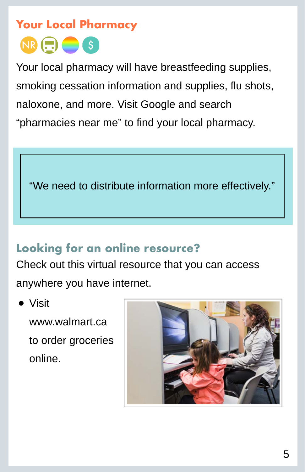### **Your Local Pharmacy**  $NR \bigoplus$   $S$

Your local pharmacy will have breastfeeding supplies, smoking cessation information and supplies, flu shots, naloxone, and more. Visit Google and search "pharmacies near me" to find your local pharmacy.

"We need to distribute information more effectively."

### **Looking for an online resource?**

Check out this virtual resource that you can access anywhere you have internet.

#### • Visit

[www.walmart.ca](http://www.walmart.ca) to order groceries online.

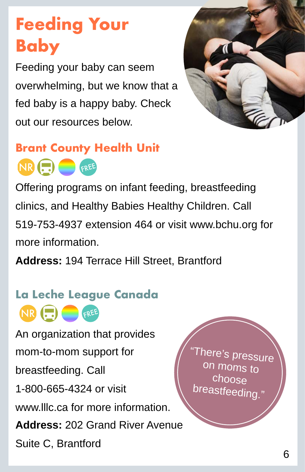# **Feeding Your Baby**

Feeding your baby can seem overwhelming, but we know that a fed baby is a happy baby. Check out our resources below.



### **Brant County Health Unit**

NR **FREE** 

Offering programs on infant feeding, breastfeeding clinics, and Healthy Babies Healthy Children. Call 519-753-4937 extension 464 or visit [www.bchu.org](http://www.bchu.org) for more information.

**Address:** 194 Terrace Hill Street, Brantford

### **La Leche League Canada** NR **FREE**

An organization that provides mom-to-mom support for breastfeeding. Call 1-800-665-4324 or visit [www.lllc.ca](http://www.lllc.ca) for more information. **Address:** 202 Grand River Avenue Suite C, Brantford

There's pressure moms to choose breastfeeding."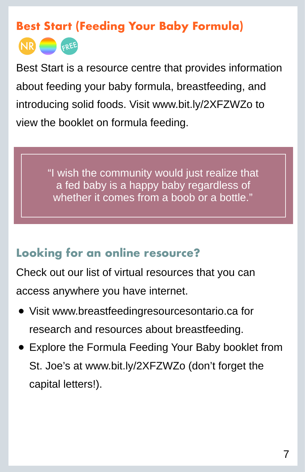#### **Best Start (Feeding Your Baby Formula)**



Best Start is a resource centre that provides information about feeding your baby formula, breastfeeding, and introducing solid foods. Visit [www.bit.ly/2XFZWZo](http://www.bit.ly/2XFZWZo) to view the booklet on formula feeding.

> "I wish the community would just realize that a fed baby is a happy baby regardless of whether it comes from a boob or a bottle."

#### **Looking for an online resource?**

Check out our list of virtual resources that you can access anywhere you have internet.

- Visit [www.breastfeedingresourcesontario.ca](http://www.breastfeedingresourcesontario.ca) for research and resources about breastfeeding.
- Explore the Formula Feeding Your Baby booklet from St. Joe's at [www.bit.ly/2XFZWZo](http://www.bit.ly/2XFZWZo) (don't forget the capital letters!).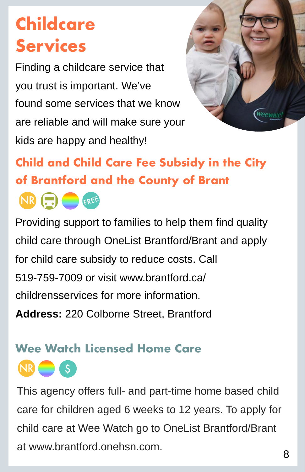# **Childcare Services**

Finding a childcare service that you trust is important. We've found some services that we know are reliable and will make sure your kids are happy and healthy!



**Child and Child Care Fee Subsidy in the City of Brantford and the County of Brant**



 $\mathsf{S}$  .

Providing support to families to help them find [quality](https://www.brantford.ca/en/living-here/finding-licensed-child-care.aspx)  [child care](https://www.brantford.ca/en/living-here/finding-licensed-child-care.aspx) through [OneList Brantford/Brant](https://brantford.onehsn.com/) and apply for [child care subsidy](https://www.brantford.ca/en/living-here/financial-assistance.aspx) to reduce costs. Call 519-759-7009 or visit [www.brantford.ca/](http://www.brantford.ca/childrensservices) [childrensservices](http://www.brantford.ca/childrensservices) for more information. **Address:** 220 Colborne Street, Brantford

### **Wee Watch Licensed Home Care**

This agency offers full- and part-time home based child care for children aged 6 weeks to 12 years. To apply for child care at Wee Watch go to OneList Brantford/Brant at [www.brantford.onehsn.com](http://www.brantford.onehsn.com).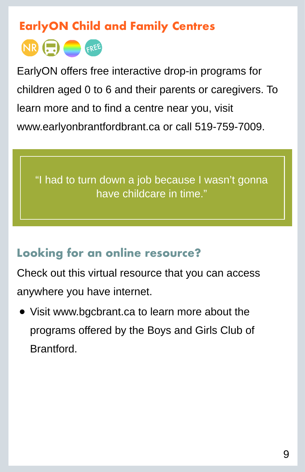#### **EarlyON Child and Family Centres**



EarlyON offers free interactive drop-in programs for children aged 0 to 6 and their parents or caregivers. To learn more and to find a centre near you, visit [www.earlyonbrantfordbrant.ca](http://www.earlyonbrantfordbrant.ca) or call 519-759-7009.

"I had to turn down a job because I wasn't gonna have childcare in time."

#### **Looking for an online resource?**

Check out this virtual resource that you can access anywhere you have internet.

• Visit [www.bgcbrant.ca](http://www.bgcbrant.ca) to learn more about the programs offered by the Boys and Girls Club of **Brantford**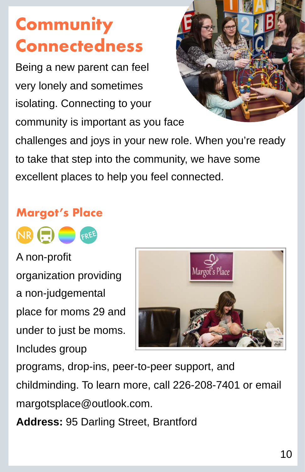# **Community Connectedness**

Being a new parent can feel very lonely and sometimes isolating. Connecting to your community is important as you face



challenges and joys in your new role. When you're ready to take that step into the community, we have some excellent places to help you feel connected.

#### **Margot's Place**



A non-profit organization providing a non-judgemental place for moms 29 and under to just be moms. Includes group



programs, drop-ins, peer-to-peer support, and childminding. To learn more, call 226-208-7401 or email [margotsplace@outlook.com.](mailto:margotsplace@outlook.com)

**Address:** 95 Darling Street, Brantford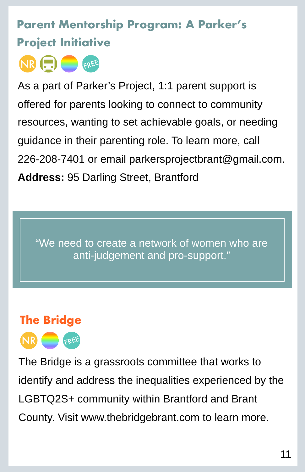### **Parent Mentorship Program: A Parker's Project Initiative**



As a part of Parker's Project, 1:1 parent support is offered for parents looking to connect to community resources, wanting to set achievable goals, or needing guidance in their parenting role. To learn more, call 226-208-7401 or email [parkersprojectbrant@gmail.com.](mailto:parkersprojectbrant@gmail.com) **Address:** 95 Darling Street, Brantford

"We need to create a network of women who are anti-judgement and pro-support."

### **The Bridge**



The Bridge is a grassroots committee that works to identify and address the inequalities experienced by the LGBTQ2S+ community within Brantford and Brant County. Visit [www.thebridgebrant.com](http://www.thebridgebrant.com) to learn more.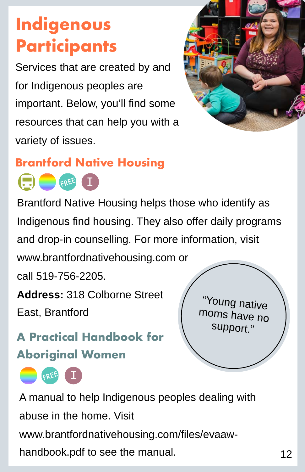# **Indigenous Participants**

Services that are created by and for Indigenous peoples are important. Below, you'll find some resources that can help you with a variety of issues.



### **Brantford Native Housing**

FREE I

Brantford Native Housing helps those who identify as Indigenous find housing. They also offer daily programs and drop-in counselling. For more information, visit

[www.brantfordnativehousing.com](http://www.brantfordnativehousing.com) or

call 519-756-2205.

**Address:** 318 Colborne Street

East, Brantford

FREE

**A Practical Handbook for Aboriginal Women**



A manual to help Indigenous peoples dealing with abuse in the home. Visit [www.brantfordnativehousing.com/files/evaaw](http://www.brantfordnativehousing.com/files/evaaw-handbook.pdf)[handbook.pdf](http://www.brantfordnativehousing.com/files/evaaw-handbook.pdf) to see the manual.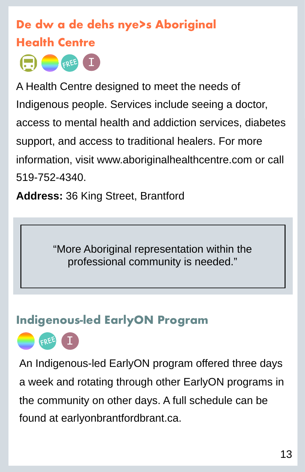### **De dw a de dehs nye>s Aboriginal Health Centre**

 $\left( \begin{array}{c} \blacksquare \end{array} \right)$   $\begin{array}{c} \blacksquare \end{array}$   $\begin{array}{c} \blacksquare \end{array}$   $\begin{array}{c} \blacksquare \end{array}$ 

A Health Centre designed to meet the needs of Indigenous people. Services include seeing a doctor, access to mental health and addiction services, diabetes support, and access to traditional healers. For more information, visit [www.aboriginalhealthcentre.com](http://www.aboriginalhealthcentre.com) or call 519-752-4340.

**Address:** 36 King Street, Brantford

"More Aboriginal representation within the professional community is needed."

#### **Indigenous-led EarlyON Program**



An Indigenous-led EarlyON program offered three days a week and rotating through other EarlyON programs in the community on other days. A full schedule can be found at [earlyonbrantfordbrant.ca](http://earlyonbrantfordbrant.ca/).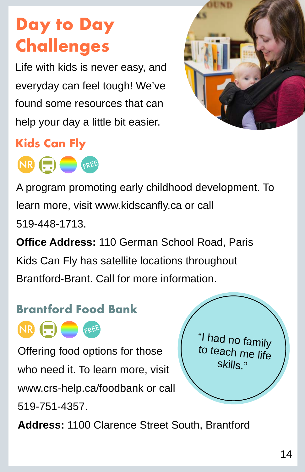# **Day to Day Challenges**

Life with kids is never easy, and everyday can feel tough! We've found some resources that can help your day a little bit easier.



### **Kids Can Fly**



A program promoting early childhood development. To learn more, visit [www.kidscanfly.ca](http://www.kidscanfly.ca) or call 519-448-1713.

**Office Address:** 110 German School Road, Paris Kids Can Fly has satellite locations throughout Brantford-Brant. Call for more information.

### **Brantford Food Bank**



Offering food options for those who need it. To learn more, visit [www.crs-help.ca/foodbank](http://www.crs-help.ca/foodbank) or call 519-751-4357.

"I had no family to teach me life skills."

**Address:** 1100 Clarence Street South, Brantford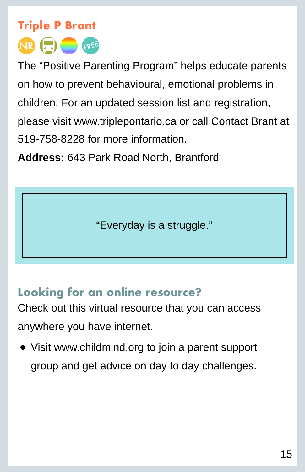

The "Positive Parenting Program" helps educate parents on how to prevent behavioural, emotional problems in children. For an updated session list and registration, please visit [www.triplepontario.ca](http://www.triplepontario.ca) or call Contact Brant at 519-758-8228 for more information.

**Address:** 643 Park Road North, Brantford

"Everyday is a struggle."

### **Looking for an online resource?**

Check out this virtual resource that you can access anywhere you have internet.

• Visit [www.childmind.org](http://www.childmind.org) to join a parent support group and get advice on day to day challenges.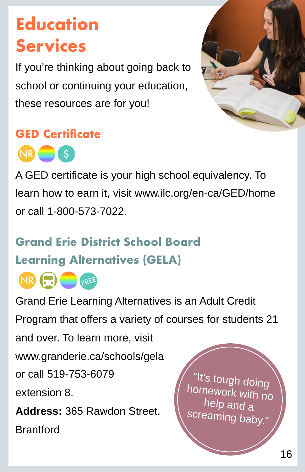# **Education Services**

If you're thinking about going back to school or continuing your education, these resources are for you!



#### **GED Certificate**



A GED certificate is your high school equivalency. To learn how to earn it, visit [www.ilc.org/en-ca/GED/home](http://www.ilc.org/en-ca/GED/home)  or call 1-800-573-7022.

### **Grand Erie District School Board Learning Alternatives (GELA)**



Grand Erie Learning Alternatives is an Adult Credit Program that offers a variety of courses for students 21

and over. To learn more, visit

[www.granderie.ca/schools/gela](http://www.granderie.ca/schools/gela) 

or call 519-753-6079

extension 8.

**Address:** 365 Rawdon Street,

**Brantford** 

It's tough doing homework with no help and a screaming baby."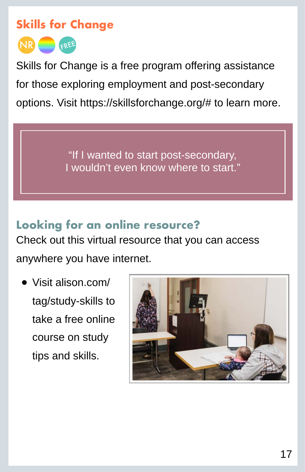#### **Skills for Change**



Skills for Change is a free program offering assistance for those exploring employment and post-secondary options. Visit<https://skillsforchange.org/#>to learn more.

> "If I wanted to start post-secondary, I wouldn't even know where to start."

**Looking for an online resource?** Check out this virtual resource that you can access anywhere you have internet.

• Visit [alison.com/](http://alison.com/tag/study-skills) [tag/study-skills to](http://alison.com/tag/study-skills) take a free online course on study tips and skills.

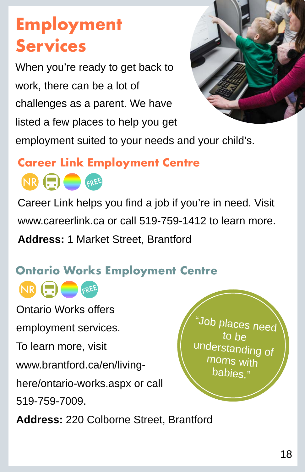# **Employment Services**

When you're ready to get back to work, there can be a lot of challenges as a parent. We have listed a few places to help you get



employment suited to your needs and your child's.

#### **Career Link Employment Centre**

NR HIS GREE

Career Link helps you find a job if you're in need. Visit [www.careerlink.ca](http://www.careerlink.ca) or call 519-759-1412 to learn more. **Address:** 1 Market Street, Brantford

### **Ontario Works Employment Centre**

NR (...) FREE

Ontario Works offers

employment services.

To learn more, visit

[www.brantford.ca/en/living-](https://www.brantford.ca/en/living-here/ontario-works.aspx)

[here/ontario-works.aspx](https://www.brantford.ca/en/living-here/ontario-works.aspx) or call

519-759-7009.

**Address:** 220 Colborne Street, Brantford

"Job places need to be understanding of moms with babies."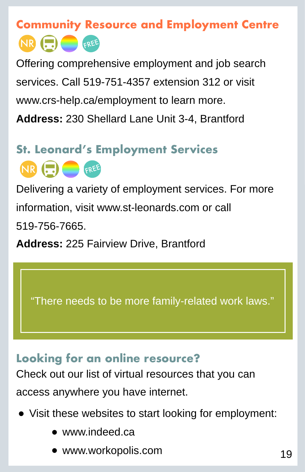### **Community Resource and Employment Centre** NR **FREE**

Offering comprehensive employment and job search services. Call 519-751-4357 extension 312 or visit [www.crs-help.ca/employment](http://www.crs-help.ca/employment) to learn more. **Address:** 230 Shellard Lane Unit 3-4, Brantford

### **St. Leonard's Employment Services**

NR (...) <sub>FREE</sub>

Delivering a variety of employment services. For more information, visit [www.st-leonards.com](http://www.st-leonards.com) or call 519-756-7665.

**Address:** 225 Fairview Drive, Brantford

"There needs to be more family-related work laws."

#### **Looking for an online resource?**

Check out our list of virtual resources that you can access anywhere you have internet.

- Visit these websites to start looking for employment:
	- [www.indeed.ca](http://www.indeed.ca)
	- [www.workopolis.com](http://www.workopolis.com)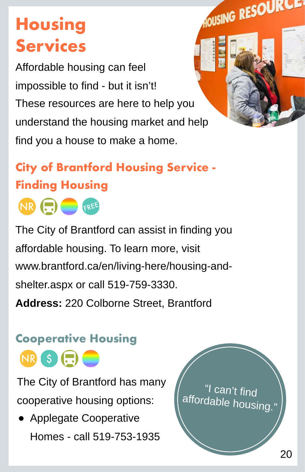# **Housing Services**

Affordable housing can feel impossible to find - but it isn't! These resources are here to help you understand the housing market and help find you a house to make a home.

### **City of Brantford Housing Service - Finding Housing**



The City of Brantford can assist in finding you affordable housing. To learn more, visit [www.brantford.ca/en/living-here/housing-and](https://www.brantford.ca/en/living-here/housing-and-shelter.aspx)[shelter.aspx](https://www.brantford.ca/en/living-here/housing-and-shelter.aspx) or call 519-759-3330. **Address:** 220 Colborne Street, Brantford

### **Cooperative Housing**

NR \$ (...)

The City of Brantford has many cooperative housing options:

• Applegate Cooperative Homes - call 519-753-1935

I can't find affordable housing."

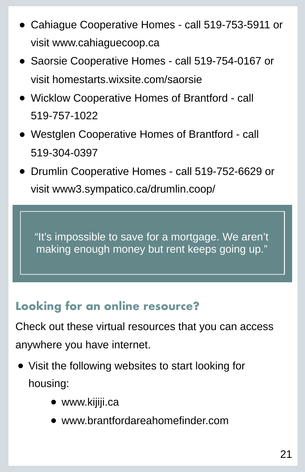- Cahiague Cooperative Homes call 519-753-5911 or visit [www.cahiaguecoop.ca](http://www.cahiaguecoop.ca)
- Saorsie Cooperative Homes call 519-754-0167 or visit [homestarts.wixsite.com/saorsie](http://homestarts.wixsite.com/saorsie)
- Wicklow Cooperative Homes of Brantford call 519-757-1022
- Westglen Cooperative Homes of Brantford call 519-304-0397
- Drumlin Cooperative Homes call 519-752-6629 or visit www3.sympatico.ca/drumlin.coop/

"It's impossible to save for a mortgage. We aren't making enough money but rent keeps going up."

### **Looking for an online resource?**

Check out these virtual resources that you can access anywhere you have internet.

- Visit the following websites to start looking for housing:
	- [www.kijiji.ca](http://www.kijiji.ca)
	- [www.brantfordareahomefinder.com](http://www.brantfordareahomefinder.com)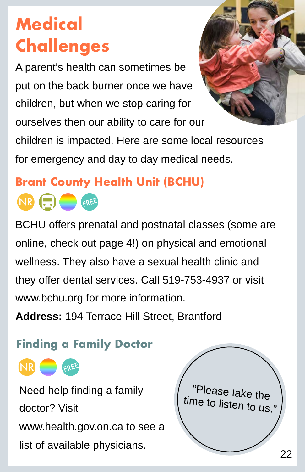# **Medical Challenges**

A parent's health can sometimes be put on the back burner once we have children, but when we stop caring for ourselves then our ability to care for our



children is impacted. Here are some local resources for emergency and day to day medical needs.

### **Brant County Health Unit (BCHU)**



BCHU offers prenatal and postnatal classes (some are online, check out page 4!) on physical and emotional wellness. They also have a sexual health clinic and they offer dental services. Call 519-753-4937 or visit [www.bchu.org](http://www.bchu.org) for more information.

**Address:** 194 Terrace Hill Street, Brantford

### **Finding a Family Doctor**



Need help finding a family doctor? Visit [www.health.gov.on.ca](http://www.health.gov.on.ca) to see a list of available physicians.

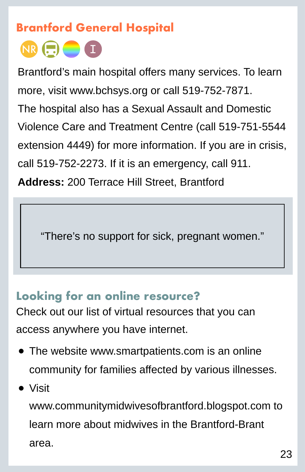#### **Brantford General Hospital**



Brantford's main hospital offers many services. To learn more, visit [www.bchsys.org](http://www.bchsys.org) or call 519-752-7871. The hospital also has a Sexual Assault and Domestic Violence Care and Treatment Centre (call 519-751-5544 extension 4449) for more information. If you are in crisis, call 519-752-2273. If it is an emergency, call 911. **Address:** 200 Terrace Hill Street, Brantford

"There's no support for sick, pregnant women."

#### **Looking for an online resource?**

Check out our list of virtual resources that you can access anywhere you have internet.

- The website [www.smartpatients.com](http://www.smartpatients.com) is an online community for families affected by various illnesses.
- Visit

[www.communitymidwivesofbrantford.blogspot.com](http://www.communitymidwivesofbrantford.blogspot.com) to learn more about midwives in the Brantford-Brant area.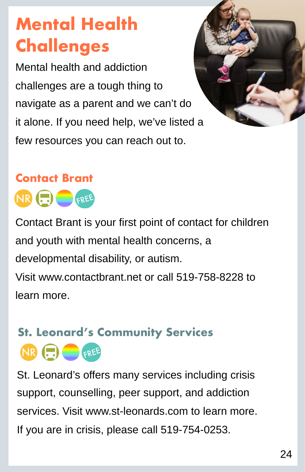# **Mental Health Challenges**

Mental health and addiction challenges are a tough thing to navigate as a parent and we can't do it alone. If you need help, we've listed a few resources you can reach out to.



# **Contact Brant**



Contact Brant is your first point of contact for children and youth with mental health concerns, a developmental disability, or autism. Visit [www.contactbrant.net](http://www.contactbrant.net/) or call 519-758-8228 to learn more.

### NR **ED** GREE **St. Leonard's Community Services**

St. Leonard's offers many services including crisis support, counselling, peer support, and addiction services. Visit [www.st-leonards.com](http://www.st-leonards.com) to learn more. If you are in crisis, please call 519-754-0253.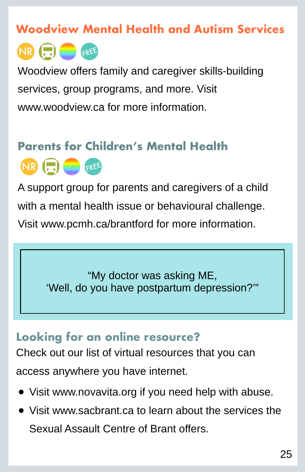#### **Woodview Mental Health and Autism Services**

NR (E) **FREE** 

Woodview offers family and caregiver skills-building services, group programs, and more. Visit [www.woodview.ca](http://www.woodview.ca) for more information.

### **Parents for Children's Mental Health** NR HI GREE

A support group for parents and caregivers of a child with a mental health issue or behavioural challenge. Visit [www.pcmh.ca/brantford](http://www.pcmh.ca/brantford) for more information.

> "My doctor was asking ME, 'Well, do you have postpartum depression?'"

#### **Looking for an online resource?**

Check out our list of virtual resources that you can access anywhere you have internet.

- Visit [www.novavita.org](http://www.novavita.org) if you need help with abuse.
- Visit [www.sacbrant.ca](http://www.sacbrant.ca) to learn about the services the Sexual Assault Centre of Brant offers.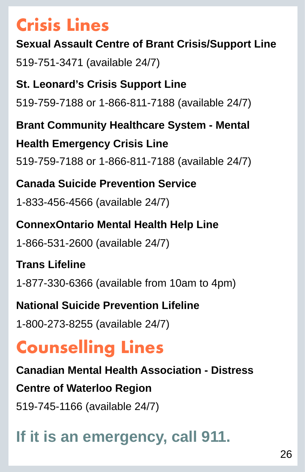### **Crisis Lines**

#### **Sexual Assault Centre of Brant Crisis/Support Line**

519-751-3471 (available 24/7)

#### **St. Leonard's Crisis Support Line**  519-759-7188 or 1-866-811-7188 (available 24/7)

**Brant Community Healthcare System - Mental Health Emergency Crisis Line**  519-759-7188 or 1-866-811-7188 (available 24/7)

#### **Canada Suicide Prevention Service**

1-833-456-4566 (available 24/7)

### **ConnexOntario Mental Health Help Line**  1-866-531-2600 (available 24/7)

### **Trans Lifeline**

1-877-330-6366 (available from 10am to 4pm)

### **National Suicide Prevention Lifeline**

1-800-273-8255 (available 24/7)

# **Counselling Lines**

**Canadian Mental Health Association - Distress Centre of Waterloo Region**  519-745-1166 (available 24/7)

### **If it is an emergency, call 911.**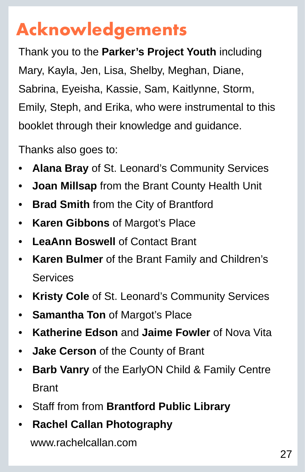# **Acknowledgements**

Thank you to the **Parker's Project Youth** including Mary, Kayla, Jen, Lisa, Shelby, Meghan, Diane, Sabrina, Eyeisha, Kassie, Sam, Kaitlynne, Storm, Emily, Steph, and Erika, who were instrumental to this booklet through their knowledge and guidance.

Thanks also goes to:

- **Alana Bray** of St. Leonard's Community Services
- **Joan Millsap** from the Brant County Health Unit
- **Brad Smith** from the City of Brantford
- **Karen Gibbons** of Margot's Place
- **LeaAnn Boswell of Contact Brant**
- **Karen Bulmer** of the Brant Family and Children's **Services**
- **Kristy Cole** of St. Leonard's Community Services
- **Samantha Ton** of Margot's Place
- **Katherine Edson** and **Jaime Fowler** of Nova Vita
- **Jake Cerson** of the County of Brant
- **Barb Vanry** of the EarlyON Child & Family Centre Brant
- Staff from from **Brantford Public Library**
- **Rachel Callan Photography**

[www.rachelcallan.com](http://www.rachelcallan.com)